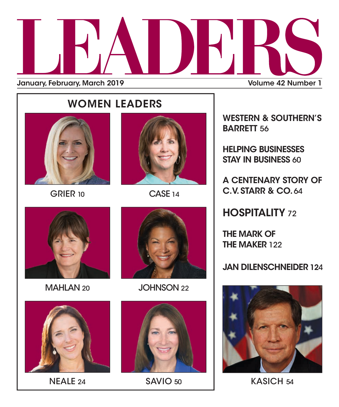

## WOMEN LEADERS



GRIER 10 CASE 14





NEALE 24 SAVIO 50



MAHLAN 20 JOHNSON 22



WESTERN & SOUTHERN'S BARRETT 56

HELPING BUSINESSES STAY IN BUSINESS 60

A CENTENARY STORY OF C.V. STARR & CO. 64

**HOSPITALITY 72** 

THE MARK OF THE MAKER 122

### JAN DILENSCHNEIDER 124



KASICH 54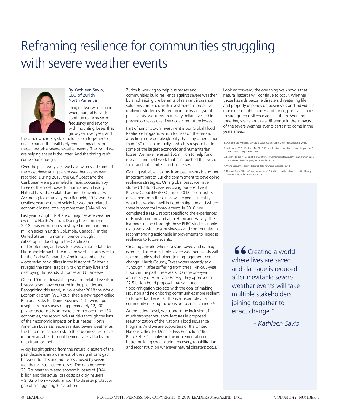# Reframing resilience for communities struggling with severe weather events



### By Kathleen Savio, CEO of Zurich North America

Imagine two worlds: one where natural hazards continue to increase in frequency and severity with mounting losses that grow year over year; and

the other where key stakeholders join together to enact change that will likely reduce impact from these inevitable severe weather events. The world we are helping shape is the latter. And the timing can't come soon enough.

Over the past two years, we have witnessed some of the most devastating severe weather events ever recorded. During 2017, the Gulf Coast and the Caribbean were pummeled in rapid succession by three of the most powerful hurricanes in history. Natural hazards escalated around the world as well. According to a study by Aon Benfield, 2017 was the costliest year on record solely for weather-related economic losses, totaling more than \$344 billion.<sup>1</sup>

Last year brought its share of major severe weather events to North America. During the summer of 2018, massive wildfires destroyed more than three million acres in British Columbia, Canada.<sup>2</sup> In the United States, Hurricane Florence brought catastrophic flooding to the Carolinas in mid-September, and was followed a month later by Hurricane Michael – the most powerful storm ever to hit the Florida Panhandle. And in November, the worst series of wildfires in the history of California ravaged the state, tragically taking many lives and destroying thousands of homes and businesses.3

Of the 10 most devastating weather-related events in history, seven have occurred in the past decade. Recognizing this trend, in November 2018 the World Economic Forum (WEF) published a new report called Regional Risks for Doing Business. 4 Drawing upon insights from a survey of approximately 12,000 private-sector decision-makers from more than 130 economies, the report looks at risks through the lens of their economic impacts on businesses. North American business leaders ranked severe weather as the third most serious risk to their business resilience in the years ahead – right behind cyber-attacks and data fraud or theft.

A key insight gained from the natural disasters of the past decade is an awareness of the significant gap between total economic losses caused by severe weather versus insured losses. The gap between 2017's weather-related economic losses of \$344 billion and the actual loss costs paid by insurers – \$132 billion – would amount to disaster protection gap of a staggering \$212 billion.<sup>1</sup>

Zurich is working to help businesses and communities build resilience against severe weather by emphasizing the benefits of relevant insurance solutions combined with investments in proactive resilience strategies. Based on industry analysis of past events, we know that every dollar invested in prevention saves over five dollars on future losses.

Part of Zurich's own investment is our Global Flood Resilience Program, which focuses on the hazard affecting more people globally than any other – more than 250 million annually – which is responsible for some of the largest economic and humanitarian losses. We have invested \$55 million to help fund research and field work that has touched the lives of thousands of families and businesses.

Gaining valuable insights from past events is another important part of Zurich's commitment to developing resilience strategies. On a global basis, we have studied 13 flood disasters using our Post Event Review Capability (PERC) since 2013. The insights developed from these reviews helped us identify what has worked well in flood mitigation and where there is room for improvement. In 2018, we completed a PERC report specific to the experiences of Houston during and after Hurricane Harvey. The learnings gained through these PERC studies enable us to work with local businesses and communities in recommending actionable improvements to increase resilience to future events.

Creating a world where lives are saved and damage is reduced after inevitable severe weather events will take multiple stakeholders joining together to enact change. Harris County, Texas voters recently said "Enough!" after suffering from three 1-in-500-year floods in the past three years. On the one-year anniversary of Hurricane Harvey, they approved a \$2.5 billion bond proposal that will fund flood-mitigation projects with the goal of making Houston and neighboring communities more resilient to future flood events. This is an example of a community making the decision to enact change. 5

At the federal level, we support the inclusion of much stronger resilience features in proposed reauthorization of the National Flood Insurance Program. And we are supporters of the United Nations Office for Disaster Risk Reduction "Build Back Better" initiative in the implementation of better building codes during recovery, rehabilitation and reconstruction wherever natural disasters occur. Looking forward, the one thing we know is that natural hazards will continue to occur. Whether those hazards become disasters threatening life and property depends on businesses and individuals making the right choices and taking positive actions to strengthen resilience against them. Working together, we can make a difference in the impacts of the severe weather events certain to come in the years ahead.

- 1. Aon Benfield. Weather, Climate & Catastrophe Insight, 2017 Annual Report. 2018.
- 2. Judd, Amy. "B.C. Wildfires Map 2018: Current location of wildfires around the province." Global News. 1 September 2018.
- 3. Locker, Melissa. "This list of the worst fires in California history puts the Camp fire in tragic perspective." Fast Company. 14 November 2018.
- 4. World Economic Forum, Regional Risks for Doing Business 2018.
- 5. Despart, Zach, "Harris County voters pass \$2.5 billion flood bond one year after Harvey." Houston Chronicle, 26 August 2018.

66 Creating a world where lives are saved and damage is reduced after inevitable severe weather events will take multiple stakeholders joining together to enact change."

 *- Kathleen Savio*